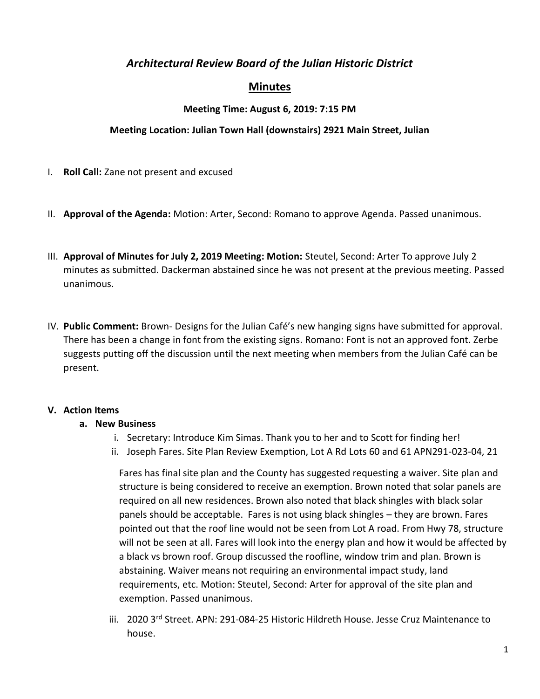# *Architectural Review Board of the Julian Historic District*

# **Minutes**

#### **Meeting Time: August 6, 2019: 7:15 PM**

#### **Meeting Location: Julian Town Hall (downstairs) 2921 Main Street, Julian**

- I. **Roll Call:** Zane not present and excused
- II. **Approval of the Agenda:** Motion: Arter, Second: Romano to approve Agenda. Passed unanimous.
- III. **Approval of Minutes for July 2, 2019 Meeting: Motion:** Steutel, Second: Arter To approve July 2 minutes as submitted. Dackerman abstained since he was not present at the previous meeting. Passed unanimous.
- IV. **Public Comment:** Brown- Designs for the Julian Café's new hanging signs have submitted for approval. There has been a change in font from the existing signs. Romano: Font is not an approved font. Zerbe suggests putting off the discussion until the next meeting when members from the Julian Café can be present.

## **V. Action Items**

#### **a. New Business**

- i. Secretary: Introduce Kim Simas. Thank you to her and to Scott for finding her!
- ii. Joseph Fares. Site Plan Review Exemption, Lot A Rd Lots 60 and 61 APN291-023-04, 21

Fares has final site plan and the County has suggested requesting a waiver. Site plan and structure is being considered to receive an exemption. Brown noted that solar panels are required on all new residences. Brown also noted that black shingles with black solar panels should be acceptable. Fares is not using black shingles – they are brown. Fares pointed out that the roof line would not be seen from Lot A road. From Hwy 78, structure will not be seen at all. Fares will look into the energy plan and how it would be affected by a black vs brown roof. Group discussed the roofline, window trim and plan. Brown is abstaining. Waiver means not requiring an environmental impact study, land requirements, etc. Motion: Steutel, Second: Arter for approval of the site plan and exemption. Passed unanimous.

iii. 2020 3<sup>rd</sup> Street. APN: 291-084-25 Historic Hildreth House. Jesse Cruz Maintenance to house.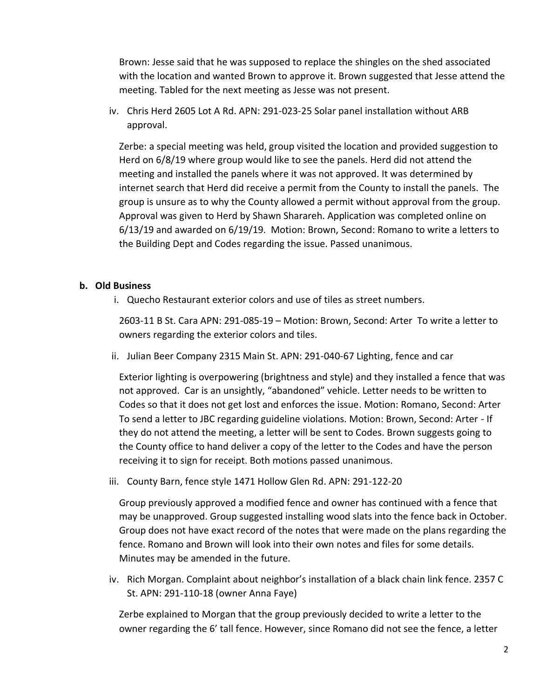Brown: Jesse said that he was supposed to replace the shingles on the shed associated with the location and wanted Brown to approve it. Brown suggested that Jesse attend the meeting. Tabled for the next meeting as Jesse was not present.

iv. Chris Herd 2605 Lot A Rd. APN: 291-023-25 Solar panel installation without ARB approval.

Zerbe: a special meeting was held, group visited the location and provided suggestion to Herd on 6/8/19 where group would like to see the panels. Herd did not attend the meeting and installed the panels where it was not approved. It was determined by internet search that Herd did receive a permit from the County to install the panels. The group is unsure as to why the County allowed a permit without approval from the group. Approval was given to Herd by Shawn Sharareh. Application was completed online on 6/13/19 and awarded on 6/19/19. Motion: Brown, Second: Romano to write a letters to the Building Dept and Codes regarding the issue. Passed unanimous.

### **b. Old Business**

i. Quecho Restaurant exterior colors and use of tiles as street numbers.

2603-11 B St. Cara APN: 291-085-19 – Motion: Brown, Second: Arter To write a letter to owners regarding the exterior colors and tiles.

ii. Julian Beer Company 2315 Main St. APN: 291-040-67 Lighting, fence and car

Exterior lighting is overpowering (brightness and style) and they installed a fence that was not approved. Car is an unsightly, "abandoned" vehicle. Letter needs to be written to Codes so that it does not get lost and enforces the issue. Motion: Romano, Second: Arter To send a letter to JBC regarding guideline violations. Motion: Brown, Second: Arter - If they do not attend the meeting, a letter will be sent to Codes. Brown suggests going to the County office to hand deliver a copy of the letter to the Codes and have the person receiving it to sign for receipt. Both motions passed unanimous.

iii. County Barn, fence style 1471 Hollow Glen Rd. APN: 291-122-20

Group previously approved a modified fence and owner has continued with a fence that may be unapproved. Group suggested installing wood slats into the fence back in October. Group does not have exact record of the notes that were made on the plans regarding the fence. Romano and Brown will look into their own notes and files for some details. Minutes may be amended in the future.

iv. Rich Morgan. Complaint about neighbor's installation of a black chain link fence. 2357 C St. APN: 291-110-18 (owner Anna Faye)

Zerbe explained to Morgan that the group previously decided to write a letter to the owner regarding the 6' tall fence. However, since Romano did not see the fence, a letter